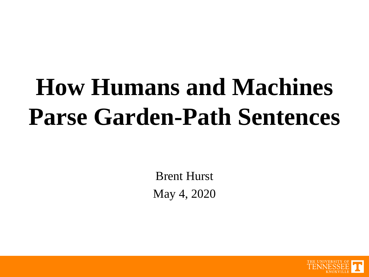# **How Humans and Machines Parse Garden-Path Sentences**

Brent Hurst May 4, 2020

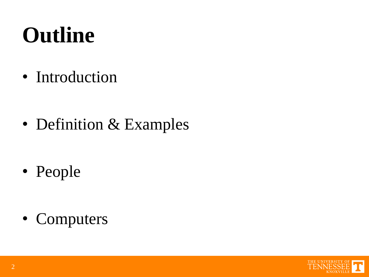# **Outline**

• Introduction

• Definition & Examples

• People

• Computers

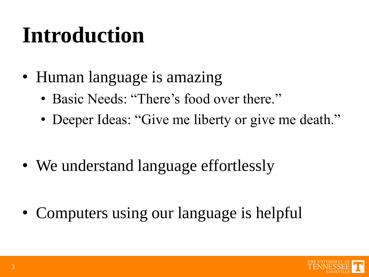### **Introduction**

- Human language is amazing
	- Basic Needs: "There's food over there."
	- Deeper Ideas: "Give me liberty or give me death."

• We understand language effortlessly

• Computers using our language is helpful

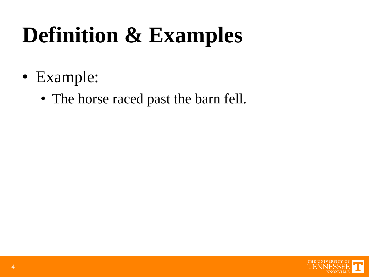- Example:
	- The horse raced past the barn fell.

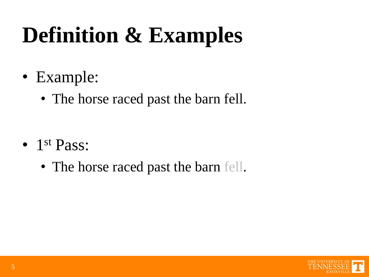- Example:
	- The horse raced past the barn fell.

- 1<sup>st</sup> Pass:
	- The horse raced past the barn fell.

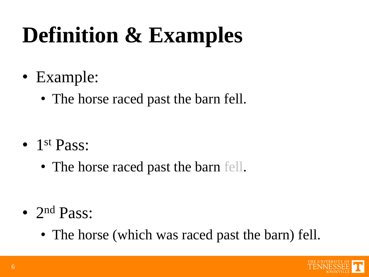- Example:
	- The horse raced past the barn fell.

- 1<sup>st</sup> Pass:
	- The horse raced past the barn fell.

- 2<sup>nd</sup> Pass:
	- The horse (which was raced past the barn) fell.

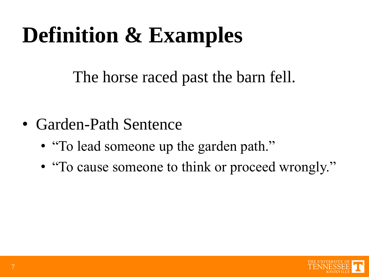The horse raced past the barn fell.

- Garden-Path Sentence
	- "To lead someone up the garden path."
	- "To cause someone to think or proceed wrongly."

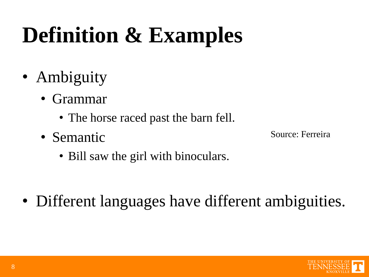- Ambiguity
	- Grammar
		- The horse raced past the barn fell.
	- Semantic

Source: Ferreira

• Bill saw the girl with binoculars.

• Different languages have different ambiguities.

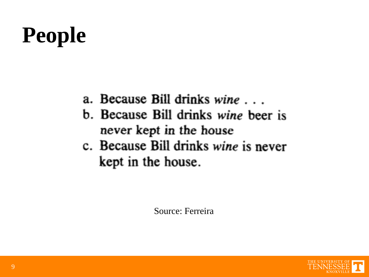### **People**

- a. Because Bill drinks wine ...
- b. Because Bill drinks wine beer is never kept in the house
- c. Because Bill drinks wine is never kept in the house.

Source: Ferreira

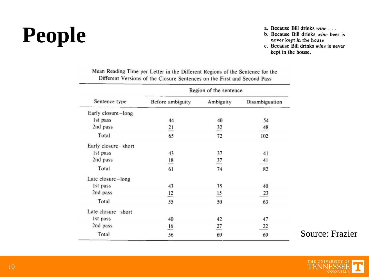# **People**

- a. Because Bill drinks wine . . .
- b. Because Bill drinks wine beer is never kept in the house
- c. Because Bill drinks wine is never kept in the house.

|  | Mean Reading Time per Letter in the Different Regions of the Sentence for the |  |
|--|-------------------------------------------------------------------------------|--|
|  | Different Versions of the Closure Sentences on the First and Second Pass      |  |

|                     | Region of the sentence |                |                |  |  |  |  |
|---------------------|------------------------|----------------|----------------|--|--|--|--|
| Sentence type       | Before ambiguity       | Ambiguity      | Disambiguation |  |  |  |  |
| Early closure-long  |                        |                |                |  |  |  |  |
| 1st pass            | 44                     | 40             | 54<br>48       |  |  |  |  |
| 2nd pass            | $\overline{21}$        | 32             |                |  |  |  |  |
| Total               | 65                     | 72             | 102            |  |  |  |  |
| Early closure-short |                        |                |                |  |  |  |  |
| 1st pass            | 43                     | 37             | 41             |  |  |  |  |
| 2nd pass            | $\frac{18}{1}$         | $\frac{37}{2}$ | 41             |  |  |  |  |
| Total               | 61                     | 74             | 82             |  |  |  |  |
| Late closure-long   |                        |                |                |  |  |  |  |
| Ist pass            | 43                     | 35             | 40             |  |  |  |  |
| 2nd pass            | 12                     | $\frac{15}{1}$ | 23             |  |  |  |  |
| Total               | 55                     | 50             | 63             |  |  |  |  |
| Late closure-short  |                        |                |                |  |  |  |  |
| Ist pass            | 40                     | 42             | 47             |  |  |  |  |
| 2nd pass            | 16                     | 27             | 22             |  |  |  |  |
| Total               | 56                     | 69             | 69             |  |  |  |  |

Source: Frazier

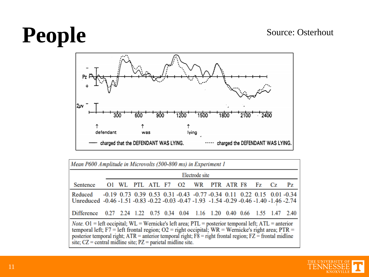#### Source: Osterhout

# **People**



| Mean P600 Amplitude in Microvolts (500-800 ms) in Experiment 1                                                                                                                                                                                                                                                                                                                                        |                |  |  |  |  |  |                                                                                                 |  |  |  |         |
|-------------------------------------------------------------------------------------------------------------------------------------------------------------------------------------------------------------------------------------------------------------------------------------------------------------------------------------------------------------------------------------------------------|----------------|--|--|--|--|--|-------------------------------------------------------------------------------------------------|--|--|--|---------|
|                                                                                                                                                                                                                                                                                                                                                                                                       | Electrode site |  |  |  |  |  |                                                                                                 |  |  |  |         |
| Sentence                                                                                                                                                                                                                                                                                                                                                                                              |                |  |  |  |  |  | Ol WL PTL ATL F7 O2 WR PTR ATR F8 Fz Cz                                                         |  |  |  | $P_{Z}$ |
| Reduced<br>Unreduced -0.46 -1.51 -0.83 -0.22 -0.03 -0.47 -1.93 -1.54 -0.29 -0.46 -1.40 -1.46 -2.74                                                                                                                                                                                                                                                                                                    |                |  |  |  |  |  | $-0.19$ $0.73$ $0.39$ $0.53$ $0.31$ $-0.43$ $-0.77$ $-0.34$ $0.11$ $0.22$ $0.15$ $0.01$ $-0.34$ |  |  |  |         |
| Difference 0.27 2.24 1.22 0.75 0.34 0.04 1.16 1.20 0.40 0.66 1.55 1.47 2.40                                                                                                                                                                                                                                                                                                                           |                |  |  |  |  |  |                                                                                                 |  |  |  |         |
| <i>Note</i> . O1 = left occipital; WL = Wernicke's left area; PTL = posterior temporal left; ATL = anterior<br>temporal left; F7 = left frontal region; O2 = right occipital; WR = Wernicke's right area; PTR =<br>posterior temporal right; $ATR =$ anterior temporal right; $F8 =$ right frontal region; $FZ =$ frontal midline<br>site; $CZ$ = central midline site; $PZ$ = parietal midline site. |                |  |  |  |  |  |                                                                                                 |  |  |  |         |

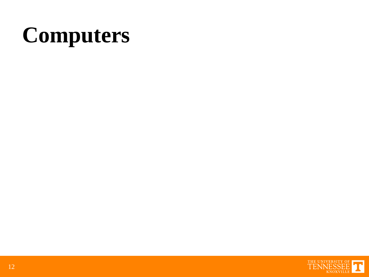# **Computers**

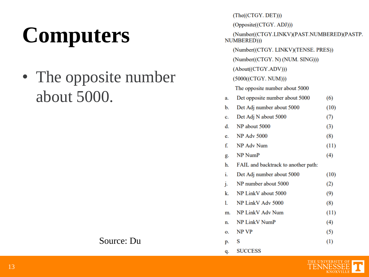# **Computers**

• The opposite number about 5000.

| Source: Du |  |
|------------|--|
|------------|--|

|    | (The((CTGY. DET)))                                        |      |  |  |  |  |  |  |
|----|-----------------------------------------------------------|------|--|--|--|--|--|--|
|    | (Opposite((CTGY. ADJ)))                                   |      |  |  |  |  |  |  |
|    | (Number((CTGY.LINKV)(PAST.NUMBERED)(PASTP.<br>NUMBERED))) |      |  |  |  |  |  |  |
|    | (Number((CTGY. LINKV)(TENSE. PRES))                       |      |  |  |  |  |  |  |
|    | (Number((CTGY. N) (NUM. SING)))                           |      |  |  |  |  |  |  |
|    | (About((CTGY.ADV)))                                       |      |  |  |  |  |  |  |
|    | (5000((CTGY. NUM)))                                       |      |  |  |  |  |  |  |
|    | The opposite number about 5000                            |      |  |  |  |  |  |  |
| a. | Det opposite number about 5000                            | (6)  |  |  |  |  |  |  |
| b. | Det Adj number about 5000                                 | (10) |  |  |  |  |  |  |
| c. | Det Adj N about 5000                                      | (7)  |  |  |  |  |  |  |
| d. | NP about 5000                                             | (3)  |  |  |  |  |  |  |
| e. | <b>NP Adv 5000</b>                                        | (8)  |  |  |  |  |  |  |
| f. | NP Adv Num                                                | (11) |  |  |  |  |  |  |
| g. | NP NumP                                                   | (4)  |  |  |  |  |  |  |
| h. | FAIL and backtrack to another path:                       |      |  |  |  |  |  |  |
| i. | Det Adj number about 5000                                 | (10) |  |  |  |  |  |  |
| j. | NP number about 5000                                      | (2)  |  |  |  |  |  |  |
| k. | NP LinkV about 5000                                       | (9)  |  |  |  |  |  |  |
| 1. | NP LinkV Adv 5000                                         | (8)  |  |  |  |  |  |  |
| m. | NP LinkV Adv Num                                          | (11) |  |  |  |  |  |  |
| n. | <b>NP LinkV NumP</b>                                      | (4)  |  |  |  |  |  |  |
| 0. | NP VP                                                     | (5)  |  |  |  |  |  |  |
| p. | S                                                         | (1)  |  |  |  |  |  |  |
| q. | <b>SUCCESS</b>                                            |      |  |  |  |  |  |  |

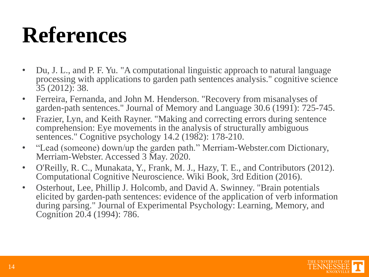#### **References**

- Du, J. L., and P. F. Yu. "A computational linguistic approach to natural language processing with applications to garden path sentences analysis." cognitive science 35 (2012): 38.
- Ferreira, Fernanda, and John M. Henderson. "Recovery from misanalyses of garden-path sentences." Journal of Memory and Language 30.6 (1991): 725-745.
- Frazier, Lyn, and Keith Rayner. "Making and correcting errors during sentence comprehension: Eye movements in the analysis of structurally ambiguous sentences." Cognitive psychology 14.2 (1982): 178-210.
- "Lead (someone) down/up the garden path." Merriam-Webster.com Dictionary, Merriam-Webster. Accessed 3 May. 2020.
- O'Reilly, R. C., Munakata, Y., Frank, M. J., Hazy, T. E., and Contributors (2012). Computational Cognitive Neuroscience. Wiki Book, 3rd Edition (2016).
- Osterhout, Lee, Phillip J. Holcomb, and David A. Swinney. "Brain potentials elicited by garden-path sentences: evidence of the application of verb information during parsing." Journal of Experimental Psychology: Learning, Memory, and Cognition 20.4 (1994): 786.